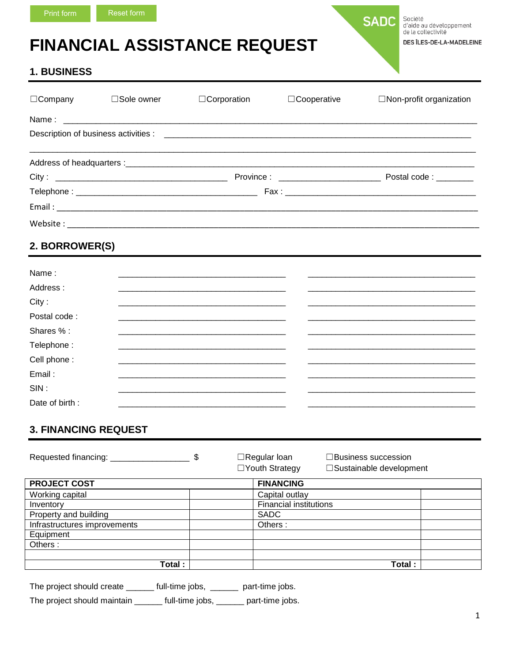# **FINANCIAL ASSISTANCE REQUEST**

Société<br>d'aide au développement<br>de la collectivité DES ÎLES-DE-LA-MADELEINE

**SADC** 

## **1. BUSINESS**

| $\Box$ Company | $\square$ Sole owner | □Corporation                                                                                                    | $\Box$ Cooperative | $\Box$ Non-profit organization |
|----------------|----------------------|-----------------------------------------------------------------------------------------------------------------|--------------------|--------------------------------|
|                |                      |                                                                                                                 |                    |                                |
|                |                      |                                                                                                                 |                    |                                |
|                |                      |                                                                                                                 |                    |                                |
|                |                      |                                                                                                                 |                    |                                |
|                |                      |                                                                                                                 |                    |                                |
|                |                      |                                                                                                                 |                    |                                |
|                |                      |                                                                                                                 |                    |                                |
| 2. BORROWER(S) |                      |                                                                                                                 |                    |                                |
| Name:          |                      | <u> 1980 - Johann Stoff, Amerikaansk politiker († 1908)</u>                                                     |                    |                                |
| Address:       |                      |                                                                                                                 |                    |                                |
| City:          |                      | and the state of the state of the state of the state of the state of the state of the state of the              |                    |                                |
| Postal code:   |                      |                                                                                                                 |                    |                                |
| Shares % :     |                      |                                                                                                                 |                    |                                |
| Telephone:     |                      | and the state of the state of the state of the state of the state of the state of the state of the state of the |                    |                                |
| Cell phone:    |                      |                                                                                                                 |                    |                                |

| Email:         |  |  |
|----------------|--|--|
| SIN            |  |  |
| Date of birth: |  |  |
|                |  |  |

# **3. FINANCING REQUEST**

| Requested financing:         | \$ | $\Box$ Regular Ioan<br>□Youth Strategy | $\Box$ Business succession<br>□Sustainable development |  |  |
|------------------------------|----|----------------------------------------|--------------------------------------------------------|--|--|
| <b>PROJECT COST</b>          |    | <b>FINANCING</b>                       |                                                        |  |  |
| Working capital              |    | Capital outlay                         |                                                        |  |  |
| Inventory                    |    | <b>Financial institutions</b>          |                                                        |  |  |
| Property and building        |    | <b>SADC</b>                            |                                                        |  |  |
| Infrastructures improvements |    | Others:                                |                                                        |  |  |
| Equipment                    |    |                                        |                                                        |  |  |
| Others:                      |    |                                        |                                                        |  |  |
|                              |    |                                        |                                                        |  |  |
| Total :                      |    |                                        | Total:                                                 |  |  |

The project should create \_\_\_\_\_\_ full-time jobs, \_\_\_\_\_\_ part-time jobs.

The project should maintain \_\_\_\_\_\_ full-time jobs, \_\_\_\_\_ part-time jobs.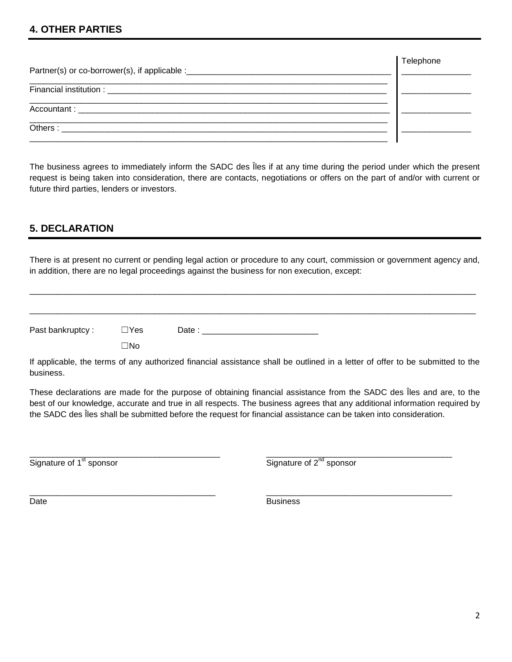#### **4. OTHER PARTIES**

The business agrees to immediately inform the SADC des Îles if at any time during the period under which the present request is being taken into consideration, there are contacts, negotiations or offers on the part of and/or with current or future third parties, lenders or investors.

#### **5. DECLARATION**

There is at present no current or pending legal action or procedure to any court, commission or government agency and, in addition, there are no legal proceedings against the business for non execution, except:

\_\_\_\_\_\_\_\_\_\_\_\_\_\_\_\_\_\_\_\_\_\_\_\_\_\_\_\_\_\_\_\_\_\_\_\_\_\_\_\_\_\_\_\_\_\_\_\_\_\_\_\_\_\_\_\_\_\_\_\_\_\_\_\_\_\_\_\_\_\_\_\_\_\_\_\_\_\_\_\_\_\_\_\_\_\_\_\_\_\_\_\_\_\_\_\_

\_\_\_\_\_\_\_\_\_\_\_\_\_\_\_\_\_\_\_\_\_\_\_\_\_\_\_\_\_\_\_\_\_\_\_\_\_\_\_\_\_\_\_\_\_\_\_\_\_\_\_\_\_\_\_\_\_\_\_\_\_\_\_\_\_\_\_\_\_\_\_\_\_\_\_\_\_\_\_\_\_\_\_\_\_\_\_\_\_\_\_\_\_\_\_\_

Past bankruptcy : ☐Yes Date : \_\_\_\_\_\_\_\_\_\_\_\_\_\_\_\_\_\_\_\_\_\_\_\_\_

☐No

If applicable, the terms of any authorized financial assistance shall be outlined in a letter of offer to be submitted to the business.

These declarations are made for the purpose of obtaining financial assistance from the SADC des Îles and are, to the best of our knowledge, accurate and true in all respects. The business agrees that any additional information required by the SADC des Îles shall be submitted before the request for financial assistance can be taken into consideration.

\_\_\_\_\_\_\_\_\_\_\_\_\_\_\_\_\_\_\_\_\_\_\_\_\_\_\_\_\_\_\_\_\_\_\_\_\_\_\_\_\_ \_\_\_\_\_\_\_\_\_\_\_\_\_\_\_\_\_\_\_\_\_\_\_\_\_\_\_\_\_\_\_\_\_\_\_\_\_\_\_\_  $\overline{\text{Signature of 1}^{\text{st}} \text{ sponsor}}$  Signature of  $2^{\text{nd}} \text{ sponsor}$ 

\_\_\_\_\_\_\_\_\_\_\_\_\_\_\_\_\_\_\_\_\_\_\_\_\_\_\_\_\_\_\_\_\_\_\_\_\_\_\_\_ \_\_\_\_\_\_\_\_\_\_\_\_\_\_\_\_\_\_\_\_\_\_\_\_\_\_\_\_\_\_\_\_\_\_\_\_\_\_\_\_ Date **Business**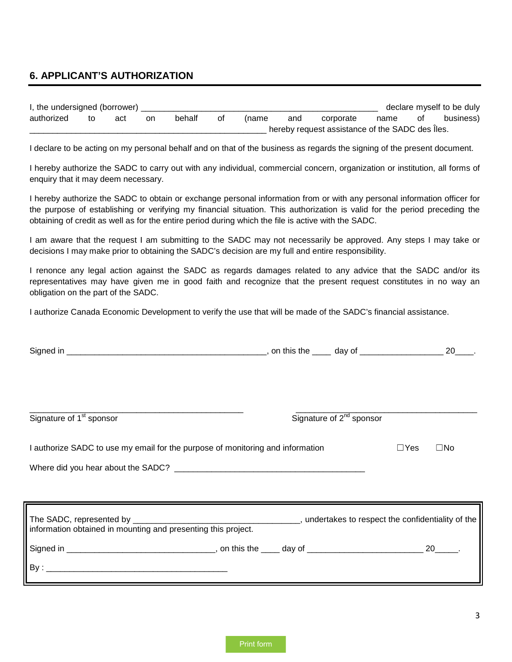#### **6. APPLICANT'S AUTHORIZATION**

| I, the undersigned (borrower) |    |     |    |        |    |       |     |                                                 |      |    | declare myself to be duly |
|-------------------------------|----|-----|----|--------|----|-------|-----|-------------------------------------------------|------|----|---------------------------|
| authorized                    | tΟ | act | on | behalt | οt | (name | and | corporate                                       | name | 0t | business)                 |
|                               |    |     |    |        |    |       |     | hereby request assistance of the SADC des lles. |      |    |                           |

I declare to be acting on my personal behalf and on that of the business as regards the signing of the present document.

I hereby authorize the SADC to carry out with any individual, commercial concern, organization or institution, all forms of enquiry that it may deem necessary.

I hereby authorize the SADC to obtain or exchange personal information from or with any personal information officer for the purpose of establishing or verifying my financial situation. This authorization is valid for the period preceding the obtaining of credit as well as for the entire period during which the file is active with the SADC.

I am aware that the request I am submitting to the SADC may not necessarily be approved. Any steps I may take or decisions I may make prior to obtaining the SADC's decision are my full and entire responsibility.

I renonce any legal action against the SADC as regards damages related to any advice that the SADC and/or its representatives may have given me in good faith and recognize that the present request constitutes in no way an obligation on the part of the SADC.

I authorize Canada Economic Development to verify the use that will be made of the SADC's financial assistance.

| Signature of 1 <sup>st</sup> sponsor                                           | Signature of $2^{nd}$ sponsor |                            |
|--------------------------------------------------------------------------------|-------------------------------|----------------------------|
| I authorize SADC to use my email for the purpose of monitoring and information |                               | $\Box$ Yes<br>$\square$ No |
|                                                                                |                               |                            |
|                                                                                |                               |                            |
|                                                                                |                               |                            |
|                                                                                |                               |                            |
| information obtained in mounting and presenting this project.                  |                               |                            |
|                                                                                |                               |                            |
|                                                                                |                               |                            |
|                                                                                |                               |                            |